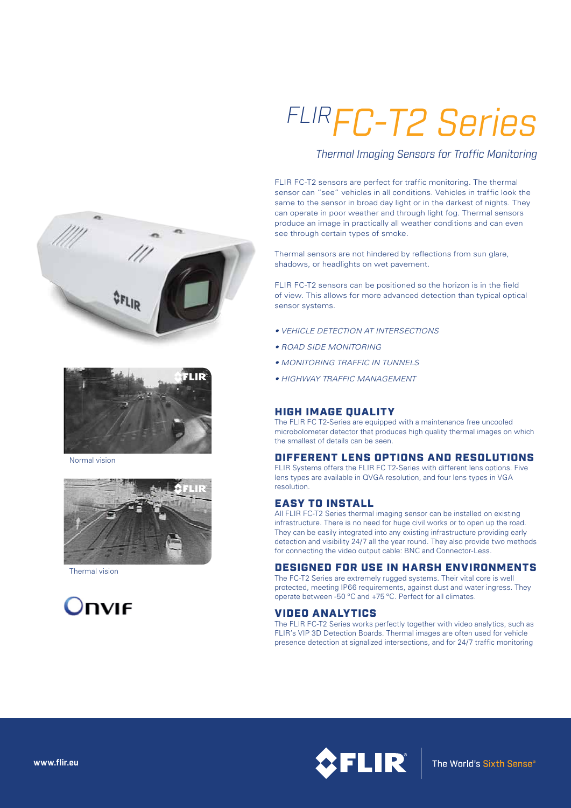

Normal vision



Thermal vision



# *FLIRFC-T2 Series*

*Thermal Imaging Sensors for Traffic Monitoring*

FLIR FC-T2 sensors are perfect for traffic monitoring. The thermal sensor can "see" vehicles in all conditions. Vehicles in traffic look the same to the sensor in broad day light or in the darkest of nights. They can operate in poor weather and through light fog. Thermal sensors produce an image in practically all weather conditions and can even see through certain types of smoke.

Thermal sensors are not hindered by reflections from sun glare, shadows, or headlights on wet pavement.

FLIR FC-T2 sensors can be positioned so the horizon is in the field of view. This allows for more advanced detection than typical optical sensor systems.

- *VEHICLE DETECTION AT INTERSECTIONS*
- *ROAD SIDE MONITORING*
- *MONITORING TRAFFIC IN TUNNELS*
- *HIGHWAY TRAFFIC MANAGEMENT*

# HIGH IMAGE QUALITY

The FLIR FC T2-Series are equipped with a maintenance free uncooled microbolometer detector that produces high quality thermal images on which the smallest of details can be seen.

## DIFFERENT LENS OPTIONS AND RESOLUTIONS

FLIR Systems offers the FLIR FC T2-Series with different lens options. Five lens types are available in QVGA resolution, and four lens types in VGA resolution.

## EASY TO INSTALL

All FLIR FC-T2 Series thermal imaging sensor can be installed on existing infrastructure. There is no need for huge civil works or to open up the road. They can be easily integrated into any existing infrastructure providing early detection and visibility 24/7 all the year round. They also provide two methods for connecting the video output cable: BNC and Connector-Less.

## DESIGNED FOR USE IN HARSH ENVIRONMENTS

The FC-T2 Series are extremely rugged systems. Their vital core is well protected, meeting IP66 requirements, against dust and water ingress. They operate between -50 ºC and +75 ºC. Perfect for all climates.

## VIDEO ANALYTICS

The FLIR FC-T2 Series works perfectly together with video analytics, such as FLIR's VIP 3D Detection Boards. Thermal images are often used for vehicle presence detection at signalized intersections, and for 24/7 traffic monitoring